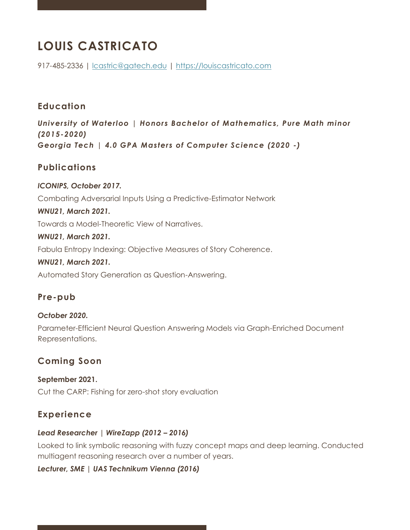# **LOUIS CASTRICATO**

917-485-2336 | [lcastric@gatech.edu](mailto:lcastric@gatech.edu) | [https://louiscastricato.com](https://louiscastricato.com/)

# **Education**

*University of Waterloo | Honors Bachelor of Mathematics, Pure Math minor (2015-2020) Georgia Tech | 4.0 GPA Masters of Computer Science (2020 -)*

# **Publications**

#### *ICONIPS, October 2017.*

Combating Adversarial Inputs Using a Predictive-Estimator Network

#### *WNU21, March 2021.*

Towards a Model-Theoretic View of Narratives.

#### *WNU21, March 2021.*

Fabula Entropy Indexing: Objective Measures of Story Coherence.

#### *WNU21, March 2021.*

Automated Story Generation as Question-Answering.

## **Pre-pub**

#### *October 2020.*

Parameter-Efficient Neural Question Answering Models via Graph-Enriched Document Representations.

## **Coming Soon**

**September 2021.** Cut the CARP: Fishing for zero-shot story evaluation

## **Experience**

#### *Lead Researcher | WireZapp (2012 – 2016)*

Looked to link symbolic reasoning with fuzzy concept maps and deep learning. Conducted multiagent reasoning research over a number of years.

#### *Lecturer, SME | UAS Technikum Vienna (2016)*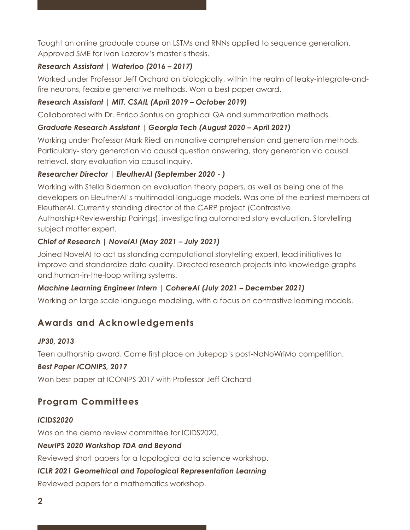Taught an online graduate course on LSTMs and RNNs applied to sequence generation. Approved SME for Ivan Lazarov's master's thesis.

## *Research Assistant | Waterloo (2016 – 2017)*

Worked under Professor Jeff Orchard on biologically, within the realm of leaky-integrate-andfire neurons, feasible generative methods. Won a best paper award.

## *Research Assistant | MIT, CSAIL (April 2019 – October 2019)*

Collaborated with Dr. Enrico Santus on graphical QA and summarization methods.

## *Graduate Research Assistant | Georgia Tech (August 2020 – April 2021)*

Working under Professor Mark Riedl on narrative comprehension and generation methods. Particularly- story generation via causal question answering, story generation via causal retrieval, story evaluation via causal inquiry.

## *Researcher Director | EleutherAI (September 2020 - )*

Working with Stella Biderman on evaluation theory papers, as well as being one of the developers on EleutherAI's multimodal language models. Was one of the earliest members at EleutherAI. Currently standing director of the CARP project (Contrastive Authorship+Reviewership Pairings), investigating automated story evaluation. Storytelling

subject matter expert.

## *Chief of Research | NovelAI (May 2021 – July 2021)*

Joined NovelAI to act as standing computational storytelling expert, lead initiatives to improve and standardize data quality. Directed research projects into knowledge graphs and human-in-the-loop writing systems.

## *Machine Learning Engineer Intern | CohereAI (July 2021 – December 2021)*

Working on large scale language modeling, with a focus on contrastive learning models.

# **Awards and Acknowledgements**

#### *JP30, 2013*

Teen authorship award. Came first place on Jukepop's post-NaNoWriMo competition.

#### *Best Paper ICONIPS, 2017*

Won best paper at ICONIPS 2017 with Professor Jeff Orchard

## **Program Committees**

#### *ICIDS2020*

Was on the demo review committee for ICIDS2020.

#### *NeurIPS 2020 Workshop TDA and Beyond*

Reviewed short papers for a topological data science workshop.

#### *ICLR 2021 Geometrical and Topological Representation Learning*

Reviewed papers for a mathematics workshop.